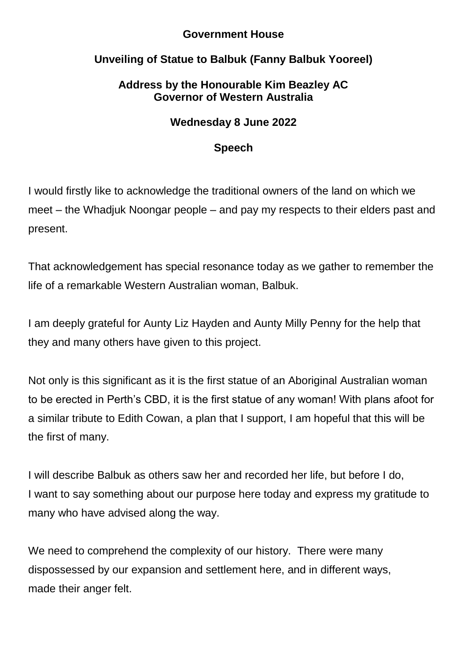### **Government House**

# **Unveiling of Statue to Balbuk (Fanny Balbuk Yooreel)**

## **Address by the Honourable Kim Beazley AC Governor of Western Australia**

## **Wednesday 8 June 2022**

### **Speech**

I would firstly like to acknowledge the traditional owners of the land on which we meet – the Whadjuk Noongar people – and pay my respects to their elders past and present.

That acknowledgement has special resonance today as we gather to remember the life of a remarkable Western Australian woman, Balbuk.

I am deeply grateful for Aunty Liz Hayden and Aunty Milly Penny for the help that they and many others have given to this project.

Not only is this significant as it is the first statue of an Aboriginal Australian woman to be erected in Perth's CBD, it is the first statue of any woman! With plans afoot for a similar tribute to Edith Cowan, a plan that I support, I am hopeful that this will be the first of many.

I will describe Balbuk as others saw her and recorded her life, but before I do, I want to say something about our purpose here today and express my gratitude to many who have advised along the way.

We need to comprehend the complexity of our history. There were many dispossessed by our expansion and settlement here, and in different ways, made their anger felt.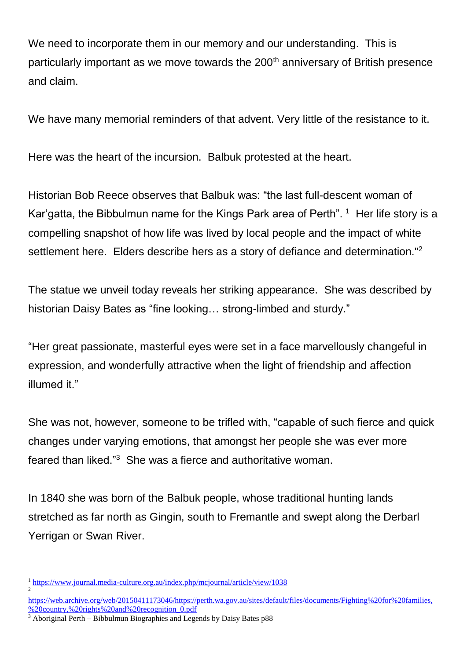We need to incorporate them in our memory and our understanding. This is particularly important as we move towards the 200<sup>th</sup> anniversary of British presence and claim.

We have many memorial reminders of that advent. Very little of the resistance to it.

Here was the heart of the incursion. Balbuk protested at the heart.

Historian Bob Reece observes that Balbuk was: "the last full-descent woman of Kar'gatta, the Bibbulmun name for the Kings Park area of Perth". <sup>1</sup> Her life story is a compelling snapshot of how life was lived by local people and the impact of white settlement here. Elders describe hers as a story of defiance and determination."<sup>2</sup>

The statue we unveil today reveals her striking appearance. She was described by historian Daisy Bates as "fine looking… strong-limbed and sturdy."

"Her great passionate, masterful eyes were set in a face marvellously changeful in expression, and wonderfully attractive when the light of friendship and affection illumed it."

She was not, however, someone to be trifled with, "capable of such fierce and quick changes under varying emotions, that amongst her people she was ever more feared than liked."<sup>3</sup> She was a fierce and authoritative woman.

In 1840 she was born of the Balbuk people, whose traditional hunting lands stretched as far north as Gingin, south to Fremantle and swept along the Derbarl Yerrigan or Swan River.

<sup>1</sup> <sup>1</sup> <https://www.journal.media-culture.org.au/index.php/mcjournal/article/view/1038> 2

[https://web.archive.org/web/20150411173046/https://perth.wa.gov.au/sites/default/files/documents/Fighting%20for%20families,](https://web.archive.org/web/20150411173046/https:/perth.wa.gov.au/sites/default/files/documents/Fighting%20for%20families,%20country,%20rights%20and%20recognition_0.pdf) [%20country,%20rights%20and%20recognition\\_0.pdf](https://web.archive.org/web/20150411173046/https:/perth.wa.gov.au/sites/default/files/documents/Fighting%20for%20families,%20country,%20rights%20and%20recognition_0.pdf)

<sup>3</sup> Aboriginal Perth – Bibbulmun Biographies and Legends by Daisy Bates p88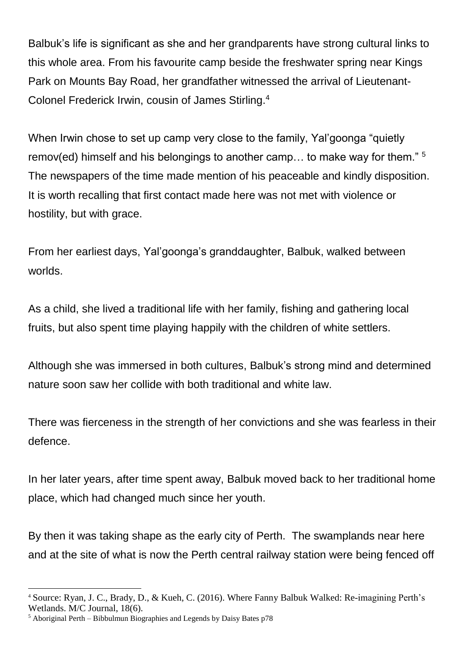Balbuk's life is significant as she and her grandparents have strong cultural links to this whole area. From his favourite camp beside the freshwater spring near Kings Park on Mounts Bay Road, her grandfather witnessed the arrival of Lieutenant-Colonel Frederick Irwin, cousin of James Stirling.<sup>4</sup>

When Irwin chose to set up camp very close to the family, Yal'goonga "quietly remov(ed) himself and his belongings to another camp... to make way for them." <sup>5</sup> The newspapers of the time made mention of his peaceable and kindly disposition. It is worth recalling that first contact made here was not met with violence or hostility, but with grace.

From her earliest days, Yal'goonga's granddaughter, Balbuk, walked between worlds.

As a child, she lived a traditional life with her family, fishing and gathering local fruits, but also spent time playing happily with the children of white settlers.

Although she was immersed in both cultures, Balbuk's strong mind and determined nature soon saw her collide with both traditional and white law.

There was fierceness in the strength of her convictions and she was fearless in their defence.

In her later years, after time spent away, Balbuk moved back to her traditional home place, which had changed much since her youth.

By then it was taking shape as the early city of Perth. The swamplands near here and at the site of what is now the Perth central railway station were being fenced off

1

<sup>4</sup> Source: Ryan, J. C., Brady, D., & Kueh, C. (2016). Where Fanny Balbuk Walked: Re-imagining Perth's Wetlands. M/C Journal, 18(6).

<sup>5</sup> Aboriginal Perth – Bibbulmun Biographies and Legends by Daisy Bates p78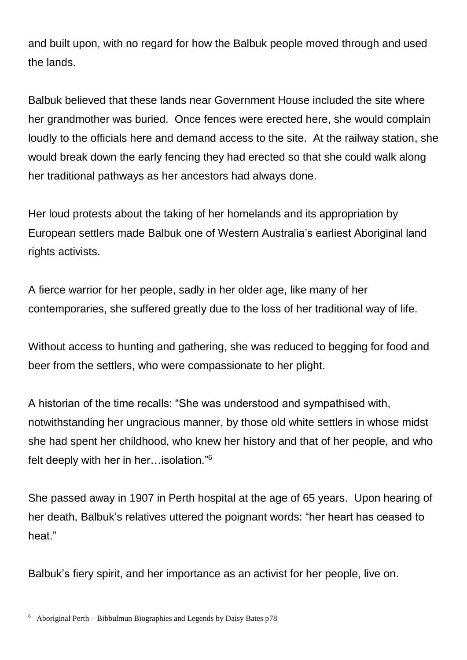and built upon, with no regard for how the Balbuk people moved through and used the lands.

Balbuk believed that these lands near Government House included the site where her grandmother was buried. Once fences were erected here, she would complain loudly to the officials here and demand access to the site. At the railway station, she would break down the early fencing they had erected so that she could walk along her traditional pathways as her ancestors had always done.

Her loud protests about the taking of her homelands and its appropriation by European settlers made Balbuk one of Western Australia's earliest Aboriginal land rights activists.

A fierce warrior for her people, sadly in her older age, like many of her contemporaries, she suffered greatly due to the loss of her traditional way of life.

Without access to hunting and gathering, she was reduced to begging for food and beer from the settlers, who were compassionate to her plight.

A historian of the time recalls: "She was understood and sympathised with, notwithstanding her ungracious manner, by those old white settlers in whose midst she had spent her childhood, who knew her history and that of her people, and who felt deeply with her in her…isolation."<sup>6</sup>

She passed away in 1907 in Perth hospital at the age of 65 years. Upon hearing of her death, Balbuk's relatives uttered the poignant words: "her heart has ceased to heat."

Balbuk's fiery spirit, and her importance as an activist for her people, live on.

<sup>-</sup>6 Aboriginal Perth – Bibbulmun Biographies and Legends by Daisy Bates p78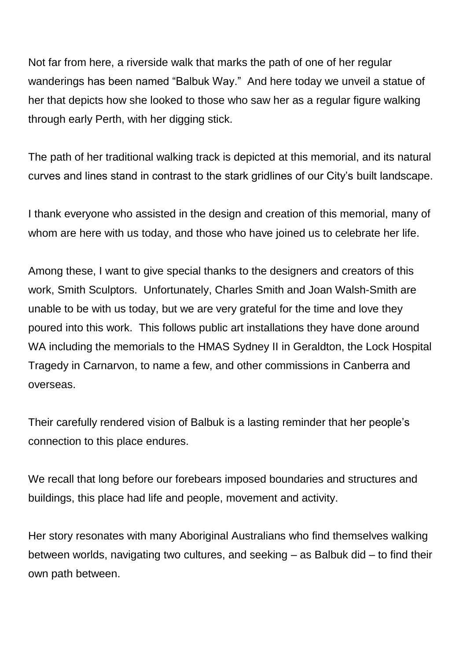Not far from here, a riverside walk that marks the path of one of her regular wanderings has been named "Balbuk Way." And here today we unveil a statue of her that depicts how she looked to those who saw her as a regular figure walking through early Perth, with her digging stick.

The path of her traditional walking track is depicted at this memorial, and its natural curves and lines stand in contrast to the stark gridlines of our City's built landscape.

I thank everyone who assisted in the design and creation of this memorial, many of whom are here with us today, and those who have joined us to celebrate her life.

Among these, I want to give special thanks to the designers and creators of this work, Smith Sculptors. Unfortunately, Charles Smith and Joan Walsh-Smith are unable to be with us today, but we are very grateful for the time and love they poured into this work. This follows public art installations they have done around WA including the memorials to the HMAS Sydney II in Geraldton, the Lock Hospital Tragedy in Carnarvon, to name a few, and other commissions in Canberra and overseas.

Their carefully rendered vision of Balbuk is a lasting reminder that her people's connection to this place endures.

We recall that long before our forebears imposed boundaries and structures and buildings, this place had life and people, movement and activity.

Her story resonates with many Aboriginal Australians who find themselves walking between worlds, navigating two cultures, and seeking – as Balbuk did – to find their own path between.